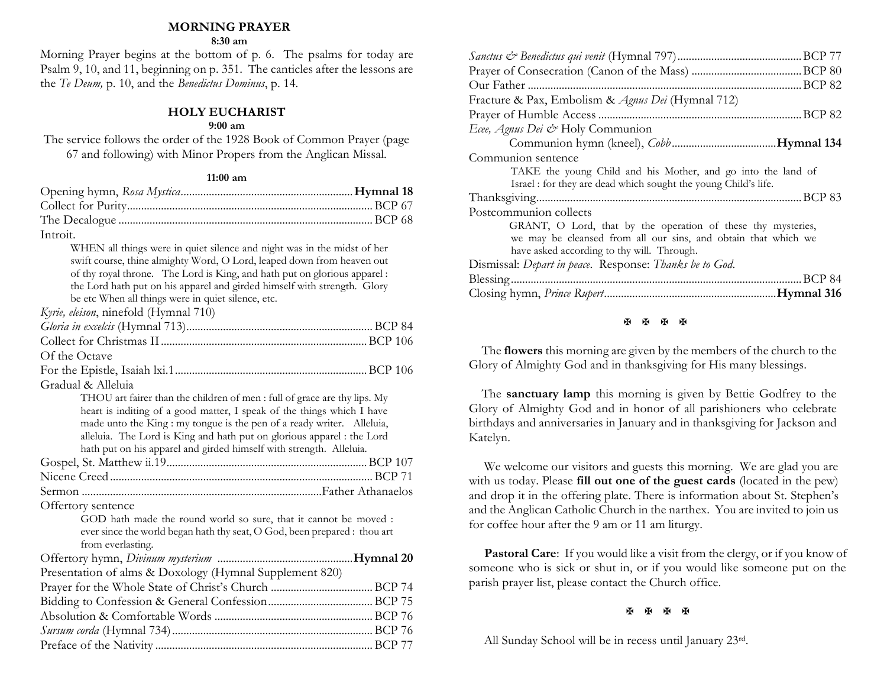#### **MORNING PRAYER**

#### **8:30 am**

Morning Prayer begins at the bottom of p. 6. The psalms for today are Psalm 9, 10, and 11, beginning on p. 351. The canticles after the lessons are the *Te Deum,* p. 10, and the *Benedictus Dominus*, p. 14.

#### **HOLY EUCHARIST**

#### **9:00 am**

The service follows the order of the 1928 Book of Common Prayer (page 67 and following) with Minor Propers from the Anglican Missal.

#### **11:00 am**

| Introit. |  |
|----------|--|

WHEN all things were in quiet silence and night was in the midst of her swift course, thine almighty Word, O Lord, leaped down from heaven out of thy royal throne. The Lord is King, and hath put on glorious apparel : the Lord hath put on his apparel and girded himself with strength. Glory be etc When all things were in quiet silence, etc.

*Kyrie, eleison*, ninefold (Hymnal 710)

| Of the Octave                                                                                                                                                                                                                |
|------------------------------------------------------------------------------------------------------------------------------------------------------------------------------------------------------------------------------|
|                                                                                                                                                                                                                              |
| Gradual & Alleluia                                                                                                                                                                                                           |
| THOU art fairer than the children of men: full of grace are thy lips. My<br>heart is inditing of a good matter, I speak of the things which I have<br>made unto the King : my tongue is the pen of a ready writer. Alleluia, |
| alleluia. The Lord is King and hath put on glorious apparel : the Lord                                                                                                                                                       |
| hath put on his apparel and girded himself with strength. Alleluia.                                                                                                                                                          |
|                                                                                                                                                                                                                              |
|                                                                                                                                                                                                                              |
|                                                                                                                                                                                                                              |
| Offertory sentence                                                                                                                                                                                                           |
| GOD hath made the round world so sure, that it cannot be moved :                                                                                                                                                             |
| ever since the world began hath thy seat, O God, been prepared : thou art<br>from everlasting.                                                                                                                               |
|                                                                                                                                                                                                                              |
| Presentation of alms & Doxology (Hymnal Supplement 820)                                                                                                                                                                      |
|                                                                                                                                                                                                                              |
|                                                                                                                                                                                                                              |
|                                                                                                                                                                                                                              |
|                                                                                                                                                                                                                              |
|                                                                                                                                                                                                                              |

| Our Father                                                     |
|----------------------------------------------------------------|
| Fracture & Pax, Embolism & Agnus Dei (Hymnal 712)              |
|                                                                |
| Ecee, Agnus Dei & Holy Communion                               |
|                                                                |
| Communion sentence                                             |
| TAKE the young Child and his Mother, and go into the land of   |
| Israel: for they are dead which sought the young Child's life. |
|                                                                |
| Postcommunion collects                                         |
| GRANT, O Lord, that by the operation of these thy mysteries,   |
| we may be cleansed from all our sins, and obtain that which we |
| have asked according to thy will. Through.                     |
| Dismissal: Depart in peace. Response: Thanks be to God.        |
|                                                                |
|                                                                |
|                                                                |

#### **H H H H**

The **flowers** this morning are given by the members of the church to the Glory of Almighty God and in thanksgiving for His many blessings.

 The **sanctuary lamp** this morning is given by Bettie Godfrey to the Glory of Almighty God and in honor of all parishioners who celebrate birthdays and anniversaries in January and in thanksgiving for Jackson and Katelyn.

We welcome our visitors and guests this morning. We are glad you are with us today. Please **fill out one of the guest cards** (located in the pew) and drop it in the offering plate. There is information about St. Stephen's and the Anglican Catholic Church in the narthex. You are invited to join us for coffee hour after the 9 am or 11 am liturgy.

Pastoral Care: If you would like a visit from the clergy, or if you know of someone who is sick or shut in, or if you would like someone put on the parish prayer list, please contact the Church office.

#### **H H H H**

All Sunday School will be in recess until January 23rd.